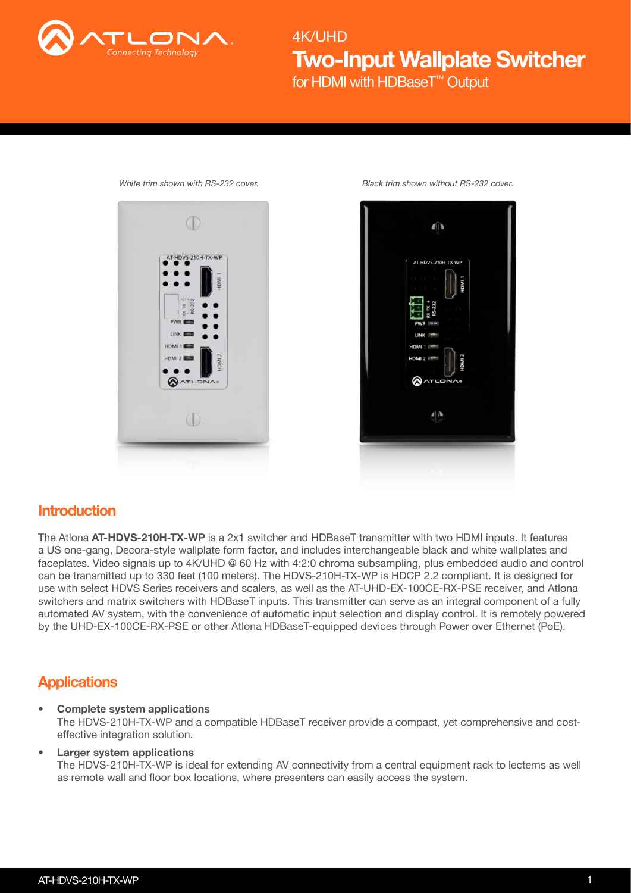

for HDMI with HDBaseT™ Output Two-Input Wallplate Switcher 4K/UHD





## **Introduction**

The Atlona AT-HDVS-210H-TX-WP is a 2x1 switcher and HDBaseT transmitter with two HDMI inputs. It features a US one-gang, Decora-style wallplate form factor, and includes interchangeable black and white wallplates and faceplates. Video signals up to 4K/UHD @ 60 Hz with 4:2:0 chroma subsampling, plus embedded audio and control can be transmitted up to 330 feet (100 meters). The HDVS-210H-TX-WP is HDCP 2.2 compliant. It is designed for use with select HDVS Series receivers and scalers, as well as the AT-UHD-EX-100CE-RX-PSE receiver, and Atlona switchers and matrix switchers with HDBaseT inputs. This transmitter can serve as an integral component of a fully automated AV system, with the convenience of automatic input selection and display control. It is remotely powered by the UHD-EX-100CE-RX-PSE or other Atlona HDBaseT-equipped devices through Power over Ethernet (PoE).

# **Applications**

#### Complete system applications The HDVS-210H-TX-WP and a compatible HDBaseT receiver provide a compact, yet comprehensive and costeffective integration solution.

### Larger system applications

The HDVS-210H-TX-WP is ideal for extending AV connectivity from a central equipment rack to lecterns as well as remote wall and floor box locations, where presenters can easily access the system.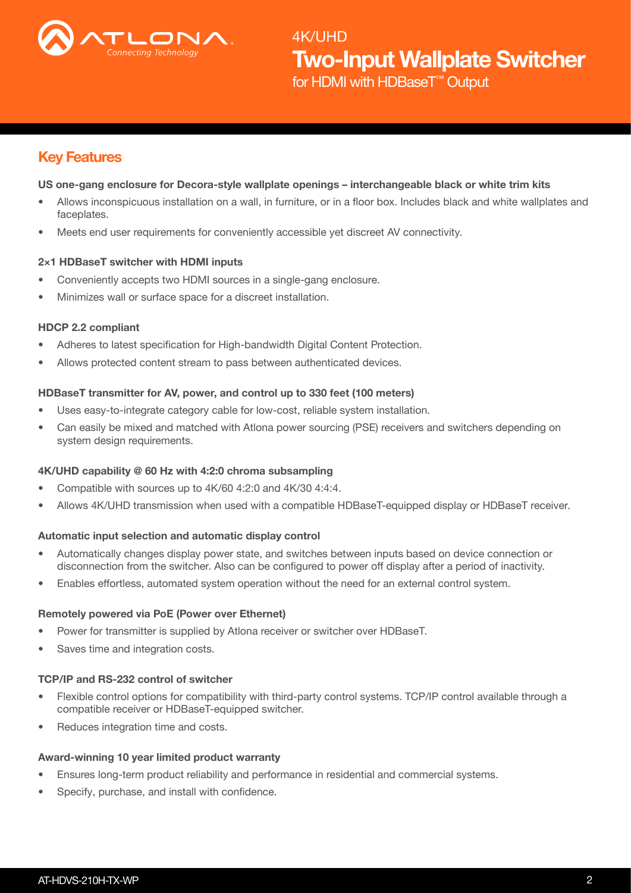

for HDMI with HDBaseT™ Output Two-Input Wallplate Switcher 4K/UHD

## Key Features

#### US one-gang enclosure for Decora-style wallplate openings – interchangeable black or white trim kits

- Allows inconspicuous installation on a wall, in furniture, or in a floor box. Includes black and white wallplates and faceplates.
- Meets end user requirements for conveniently accessible yet discreet AV connectivity.

#### 2×1 HDBaseT switcher with HDMI inputs

- Conveniently accepts two HDMI sources in a single-gang enclosure.
- Minimizes wall or surface space for a discreet installation.

#### HDCP 2.2 compliant

- Adheres to latest specification for High-bandwidth Digital Content Protection.
- Allows protected content stream to pass between authenticated devices.

#### HDBaseT transmitter for AV, power, and control up to 330 feet (100 meters)

- Uses easy-to-integrate category cable for low-cost, reliable system installation.
- Can easily be mixed and matched with Atlona power sourcing (PSE) receivers and switchers depending on system design requirements.

### 4K/UHD capability @ 60 Hz with 4:2:0 chroma subsampling

- Compatible with sources up to 4K/60 4:2:0 and 4K/30 4:4:4.
- Allows 4K/UHD transmission when used with a compatible HDBaseT-equipped display or HDBaseT receiver.

### Automatic input selection and automatic display control

- Automatically changes display power state, and switches between inputs based on device connection or disconnection from the switcher. Also can be configured to power off display after a period of inactivity.
- Enables effortless, automated system operation without the need for an external control system.

#### Remotely powered via PoE (Power over Ethernet)

- Power for transmitter is supplied by Atlona receiver or switcher over HDBaseT.
- Saves time and integration costs.

### TCP/IP and RS-232 control of switcher

- Flexible control options for compatibility with third-party control systems. TCP/IP control available through a compatible receiver or HDBaseT-equipped switcher.
- Reduces integration time and costs.

### Award-winning 10 year limited product warranty

- Ensures long-term product reliability and performance in residential and commercial systems.
- Specify, purchase, and install with confidence.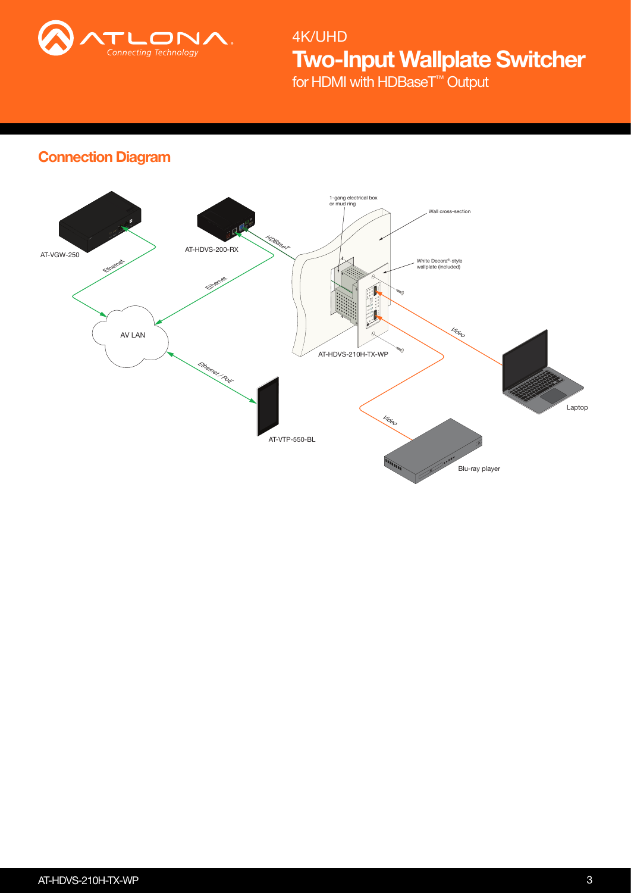

Two-Input Wallplate Switcher 4K/UHD

for HDMI with HDBaseT™ Output

# Connection Diagram